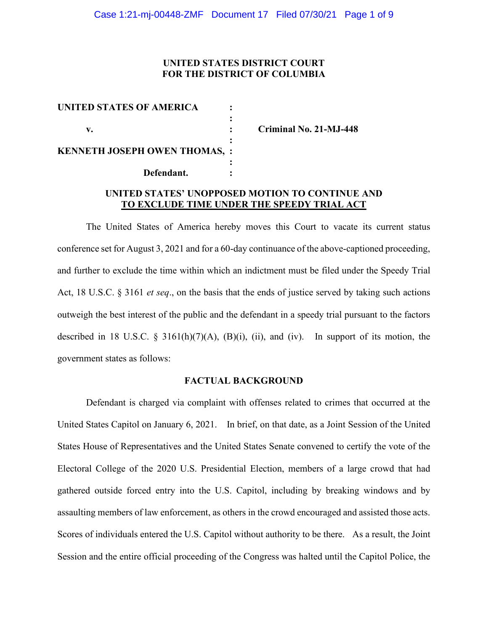# **UNITED STATES DISTRICT COURT FOR THE DISTRICT OF COLUMBIA**

| UNITED STATES OF AMERICA             |  |
|--------------------------------------|--|
|                                      |  |
| v.                                   |  |
|                                      |  |
| <b>KENNETH JOSEPH OWEN THOMAS, :</b> |  |
|                                      |  |
| Defendant.                           |  |

**v. : Criminal No. 21-MJ-448**

# **UNITED STATES' UNOPPOSED MOTION TO CONTINUE AND TO EXCLUDE TIME UNDER THE SPEEDY TRIAL ACT**

The United States of America hereby moves this Court to vacate its current status conference set for August 3, 2021 and for a 60-day continuance of the above-captioned proceeding, and further to exclude the time within which an indictment must be filed under the Speedy Trial Act, 18 U.S.C. § 3161 *et seq*., on the basis that the ends of justice served by taking such actions outweigh the best interest of the public and the defendant in a speedy trial pursuant to the factors described in 18 U.S.C.  $\S$  3161(h)(7)(A), (B)(i), (ii), and (iv). In support of its motion, the government states as follows:

#### **FACTUAL BACKGROUND**

Defendant is charged via complaint with offenses related to crimes that occurred at the United States Capitol on January 6, 2021. In brief, on that date, as a Joint Session of the United States House of Representatives and the United States Senate convened to certify the vote of the Electoral College of the 2020 U.S. Presidential Election, members of a large crowd that had gathered outside forced entry into the U.S. Capitol, including by breaking windows and by assaulting members of law enforcement, as others in the crowd encouraged and assisted those acts. Scores of individuals entered the U.S. Capitol without authority to be there. As a result, the Joint Session and the entire official proceeding of the Congress was halted until the Capitol Police, the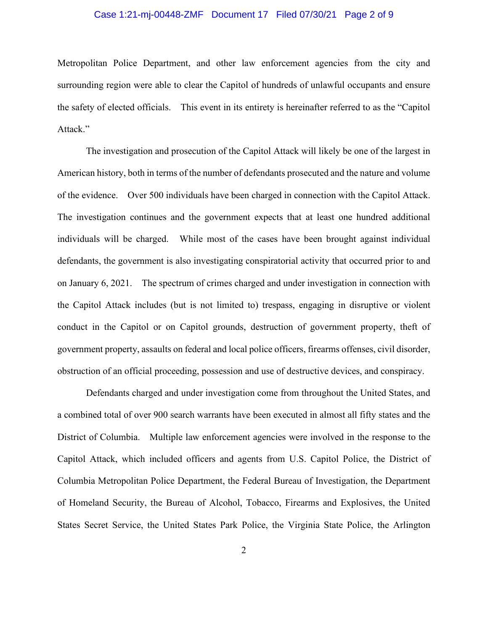## Case 1:21-mj-00448-ZMF Document 17 Filed 07/30/21 Page 2 of 9

Metropolitan Police Department, and other law enforcement agencies from the city and surrounding region were able to clear the Capitol of hundreds of unlawful occupants and ensure the safety of elected officials. This event in its entirety is hereinafter referred to as the "Capitol Attack."

The investigation and prosecution of the Capitol Attack will likely be one of the largest in American history, both in terms of the number of defendants prosecuted and the nature and volume of the evidence. Over 500 individuals have been charged in connection with the Capitol Attack. The investigation continues and the government expects that at least one hundred additional individuals will be charged. While most of the cases have been brought against individual defendants, the government is also investigating conspiratorial activity that occurred prior to and on January 6, 2021. The spectrum of crimes charged and under investigation in connection with the Capitol Attack includes (but is not limited to) trespass, engaging in disruptive or violent conduct in the Capitol or on Capitol grounds, destruction of government property, theft of government property, assaults on federal and local police officers, firearms offenses, civil disorder, obstruction of an official proceeding, possession and use of destructive devices, and conspiracy.

Defendants charged and under investigation come from throughout the United States, and a combined total of over 900 search warrants have been executed in almost all fifty states and the District of Columbia. Multiple law enforcement agencies were involved in the response to the Capitol Attack, which included officers and agents from U.S. Capitol Police, the District of Columbia Metropolitan Police Department, the Federal Bureau of Investigation, the Department of Homeland Security, the Bureau of Alcohol, Tobacco, Firearms and Explosives, the United States Secret Service, the United States Park Police, the Virginia State Police, the Arlington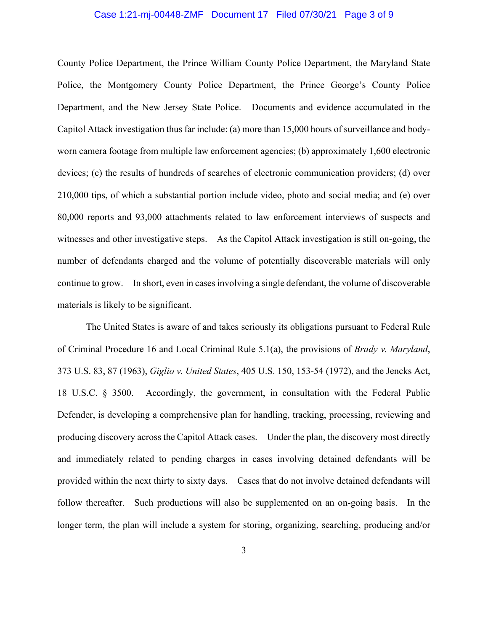#### Case 1:21-mj-00448-ZMF Document 17 Filed 07/30/21 Page 3 of 9

County Police Department, the Prince William County Police Department, the Maryland State Police, the Montgomery County Police Department, the Prince George's County Police Department, and the New Jersey State Police. Documents and evidence accumulated in the Capitol Attack investigation thus far include: (a) more than 15,000 hours of surveillance and bodyworn camera footage from multiple law enforcement agencies; (b) approximately 1,600 electronic devices; (c) the results of hundreds of searches of electronic communication providers; (d) over 210,000 tips, of which a substantial portion include video, photo and social media; and (e) over 80,000 reports and 93,000 attachments related to law enforcement interviews of suspects and witnesses and other investigative steps. As the Capitol Attack investigation is still on-going, the number of defendants charged and the volume of potentially discoverable materials will only continue to grow. In short, even in cases involving a single defendant, the volume of discoverable materials is likely to be significant.

The United States is aware of and takes seriously its obligations pursuant to Federal Rule of Criminal Procedure 16 and Local Criminal Rule 5.1(a), the provisions of *Brady v. Maryland*, 373 U.S. 83, 87 (1963), *Giglio v. United States*, 405 U.S. 150, 153-54 (1972), and the Jencks Act, 18 U.S.C. § 3500. Accordingly, the government, in consultation with the Federal Public Defender, is developing a comprehensive plan for handling, tracking, processing, reviewing and producing discovery across the Capitol Attack cases. Under the plan, the discovery most directly and immediately related to pending charges in cases involving detained defendants will be provided within the next thirty to sixty days. Cases that do not involve detained defendants will follow thereafter. Such productions will also be supplemented on an on-going basis. In the longer term, the plan will include a system for storing, organizing, searching, producing and/or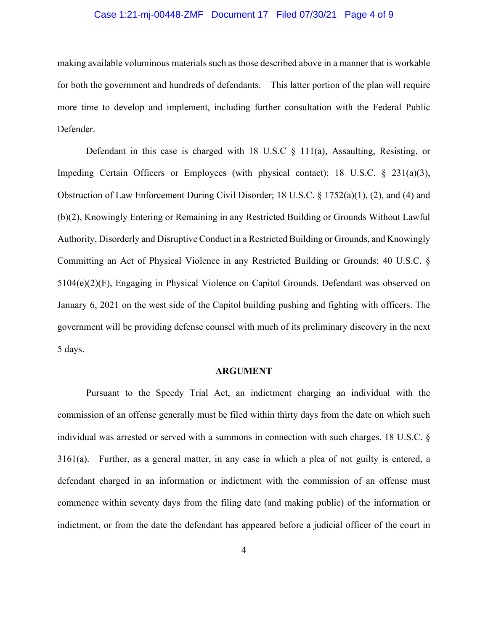### Case 1:21-mj-00448-ZMF Document 17 Filed 07/30/21 Page 4 of 9

making available voluminous materials such as those described above in a manner that is workable for both the government and hundreds of defendants. This latter portion of the plan will require more time to develop and implement, including further consultation with the Federal Public Defender.

Defendant in this case is charged with 18 U.S.C § 111(a), Assaulting, Resisting, or Impeding Certain Officers or Employees (with physical contact); 18 U.S.C. § 231(a)(3), Obstruction of Law Enforcement During Civil Disorder; 18 U.S.C. § 1752(a)(1), (2), and (4) and (b)(2), Knowingly Entering or Remaining in any Restricted Building or Grounds Without Lawful Authority, Disorderly and Disruptive Conduct in a Restricted Building or Grounds, and Knowingly Committing an Act of Physical Violence in any Restricted Building or Grounds; 40 U.S.C. § 5104(e)(2)(F), Engaging in Physical Violence on Capitol Grounds. Defendant was observed on January 6, 2021 on the west side of the Capitol building pushing and fighting with officers. The government will be providing defense counsel with much of its preliminary discovery in the next 5 days.

#### **ARGUMENT**

Pursuant to the Speedy Trial Act, an indictment charging an individual with the commission of an offense generally must be filed within thirty days from the date on which such individual was arrested or served with a summons in connection with such charges. 18 U.S.C. § 3161(a). Further, as a general matter, in any case in which a plea of not guilty is entered, a defendant charged in an information or indictment with the commission of an offense must commence within seventy days from the filing date (and making public) of the information or indictment, or from the date the defendant has appeared before a judicial officer of the court in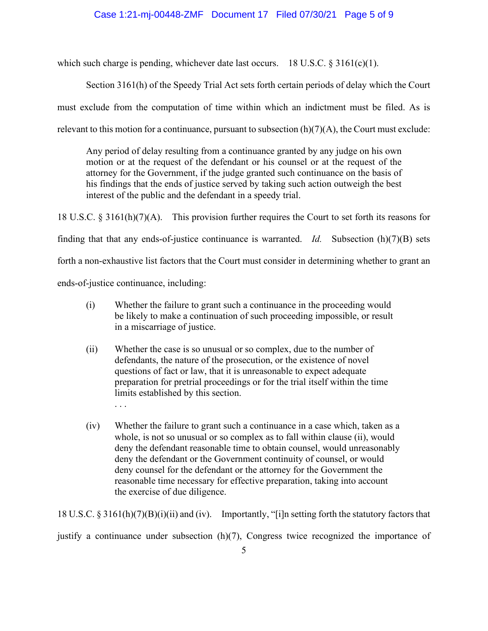## Case 1:21-mj-00448-ZMF Document 17 Filed 07/30/21 Page 5 of 9

which such charge is pending, whichever date last occurs. 18 U.S.C. § 3161(c)(1).

Section 3161(h) of the Speedy Trial Act sets forth certain periods of delay which the Court must exclude from the computation of time within which an indictment must be filed. As is relevant to this motion for a continuance, pursuant to subsection  $(h)(7)(A)$ , the Court must exclude:

Any period of delay resulting from a continuance granted by any judge on his own motion or at the request of the defendant or his counsel or at the request of the attorney for the Government, if the judge granted such continuance on the basis of his findings that the ends of justice served by taking such action outweigh the best interest of the public and the defendant in a speedy trial.

18 U.S.C. § 3161(h)(7)(A). This provision further requires the Court to set forth its reasons for finding that that any ends-of-justice continuance is warranted. *Id.* Subsection (h)(7)(B) sets forth a non-exhaustive list factors that the Court must consider in determining whether to grant an ends-of-justice continuance, including:

- (i) Whether the failure to grant such a continuance in the proceeding would be likely to make a continuation of such proceeding impossible, or result in a miscarriage of justice.
- (ii) Whether the case is so unusual or so complex, due to the number of defendants, the nature of the prosecution, or the existence of novel questions of fact or law, that it is unreasonable to expect adequate preparation for pretrial proceedings or for the trial itself within the time limits established by this section. . . .
- (iv) Whether the failure to grant such a continuance in a case which, taken as a whole, is not so unusual or so complex as to fall within clause (ii), would deny the defendant reasonable time to obtain counsel, would unreasonably deny the defendant or the Government continuity of counsel, or would deny counsel for the defendant or the attorney for the Government the reasonable time necessary for effective preparation, taking into account the exercise of due diligence.

18 U.S.C. § 3161(h)(7)(B)(i)(ii) and (iv). Importantly, "[i]n setting forth the statutory factors that

justify a continuance under subsection (h)(7), Congress twice recognized the importance of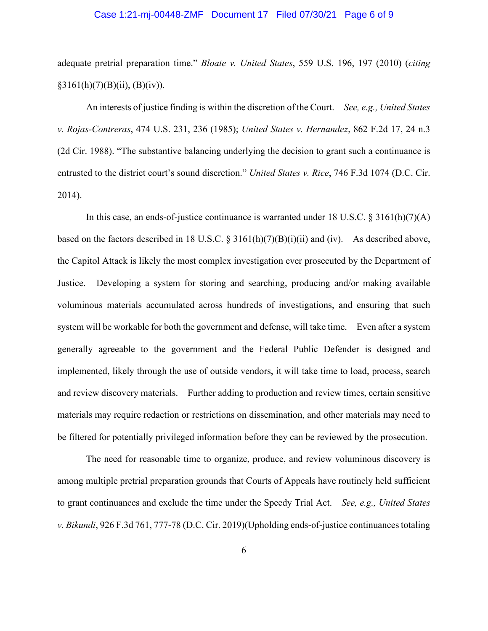#### Case 1:21-mj-00448-ZMF Document 17 Filed 07/30/21 Page 6 of 9

adequate pretrial preparation time." *Bloate v. United States*, 559 U.S. 196, 197 (2010) (*citing*  $§3161(h)(7)(B)(ii), (B)(iv)).$ 

An interests of justice finding is within the discretion of the Court. *See, e.g., United States v. Rojas-Contreras*, 474 U.S. 231, 236 (1985); *United States v. Hernandez*, 862 F.2d 17, 24 n.3 (2d Cir. 1988). "The substantive balancing underlying the decision to grant such a continuance is entrusted to the district court's sound discretion." *United States v. Rice*, 746 F.3d 1074 (D.C. Cir. 2014).

In this case, an ends-of-justice continuance is warranted under 18 U.S.C.  $\S 3161(h)(7)(A)$ based on the factors described in 18 U.S.C.  $\S 3161(h)(7)(B)(i)(ii)$  and (iv). As described above, the Capitol Attack is likely the most complex investigation ever prosecuted by the Department of Justice. Developing a system for storing and searching, producing and/or making available voluminous materials accumulated across hundreds of investigations, and ensuring that such system will be workable for both the government and defense, will take time. Even after a system generally agreeable to the government and the Federal Public Defender is designed and implemented, likely through the use of outside vendors, it will take time to load, process, search and review discovery materials. Further adding to production and review times, certain sensitive materials may require redaction or restrictions on dissemination, and other materials may need to be filtered for potentially privileged information before they can be reviewed by the prosecution.

The need for reasonable time to organize, produce, and review voluminous discovery is among multiple pretrial preparation grounds that Courts of Appeals have routinely held sufficient to grant continuances and exclude the time under the Speedy Trial Act. *See, e.g., United States v. Bikundi*, 926 F.3d 761, 777-78 (D.C. Cir. 2019)(Upholding ends-of-justice continuances totaling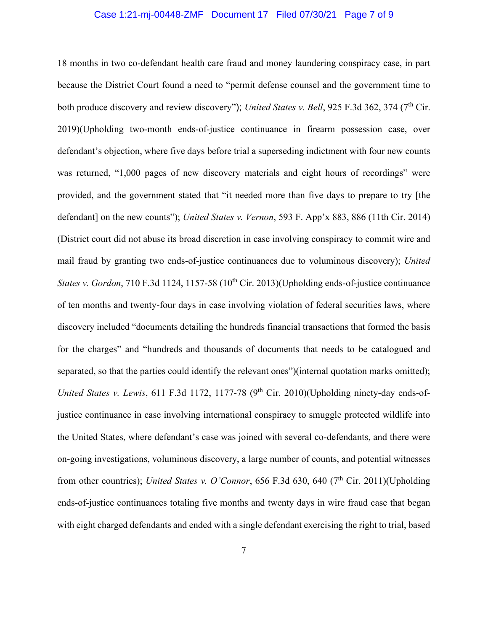#### Case 1:21-mj-00448-ZMF Document 17 Filed 07/30/21 Page 7 of 9

18 months in two co-defendant health care fraud and money laundering conspiracy case, in part because the District Court found a need to "permit defense counsel and the government time to both produce discovery and review discovery"); *United States v. Bell*, 925 F.3d 362, 374 (7<sup>th</sup> Cir. 2019)(Upholding two-month ends-of-justice continuance in firearm possession case, over defendant's objection, where five days before trial a superseding indictment with four new counts was returned, "1,000 pages of new discovery materials and eight hours of recordings" were provided, and the government stated that "it needed more than five days to prepare to try [the defendant] on the new counts"); *United States v. Vernon*, 593 F. App'x 883, 886 (11th Cir. 2014) (District court did not abuse its broad discretion in case involving conspiracy to commit wire and mail fraud by granting two ends-of-justice continuances due to voluminous discovery); *United States v. Gordon*, 710 F.3d 1124, 1157-58 (10<sup>th</sup> Cir. 2013)(Upholding ends-of-justice continuance of ten months and twenty-four days in case involving violation of federal securities laws, where discovery included "documents detailing the hundreds financial transactions that formed the basis for the charges" and "hundreds and thousands of documents that needs to be catalogued and separated, so that the parties could identify the relevant ones")(internal quotation marks omitted); *United States v. Lewis*, 611 F.3d 1172, 1177-78 (9<sup>th</sup> Cir. 2010)(Upholding ninety-day ends-ofjustice continuance in case involving international conspiracy to smuggle protected wildlife into the United States, where defendant's case was joined with several co-defendants, and there were on-going investigations, voluminous discovery, a large number of counts, and potential witnesses from other countries); *United States v. O'Connor*, 656 F.3d 630, 640 (7<sup>th</sup> Cir. 2011)(Upholding ends-of-justice continuances totaling five months and twenty days in wire fraud case that began with eight charged defendants and ended with a single defendant exercising the right to trial, based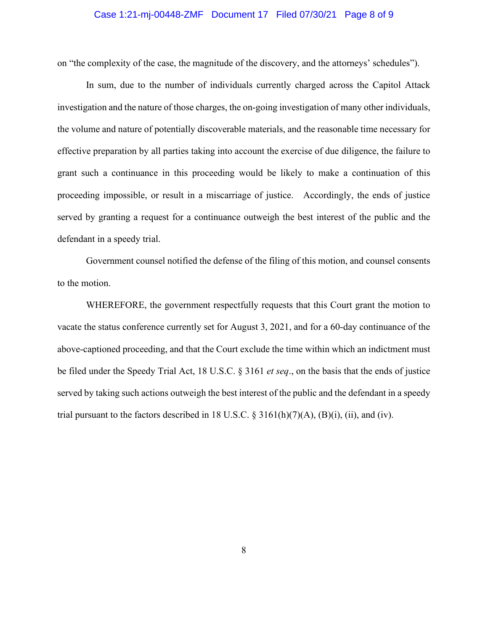#### Case 1:21-mj-00448-ZMF Document 17 Filed 07/30/21 Page 8 of 9

on "the complexity of the case, the magnitude of the discovery, and the attorneys' schedules").

In sum, due to the number of individuals currently charged across the Capitol Attack investigation and the nature of those charges, the on-going investigation of many other individuals, the volume and nature of potentially discoverable materials, and the reasonable time necessary for effective preparation by all parties taking into account the exercise of due diligence, the failure to grant such a continuance in this proceeding would be likely to make a continuation of this proceeding impossible, or result in a miscarriage of justice. Accordingly, the ends of justice served by granting a request for a continuance outweigh the best interest of the public and the defendant in a speedy trial.

Government counsel notified the defense of the filing of this motion, and counsel consents to the motion.

WHEREFORE, the government respectfully requests that this Court grant the motion to vacate the status conference currently set for August 3, 2021, and for a 60-day continuance of the above-captioned proceeding, and that the Court exclude the time within which an indictment must be filed under the Speedy Trial Act, 18 U.S.C. § 3161 *et seq*., on the basis that the ends of justice served by taking such actions outweigh the best interest of the public and the defendant in a speedy trial pursuant to the factors described in 18 U.S.C.  $\S 3161(h)(7)(A)$ ,  $(B)(i)$ ,  $(ii)$ , and  $(iv)$ .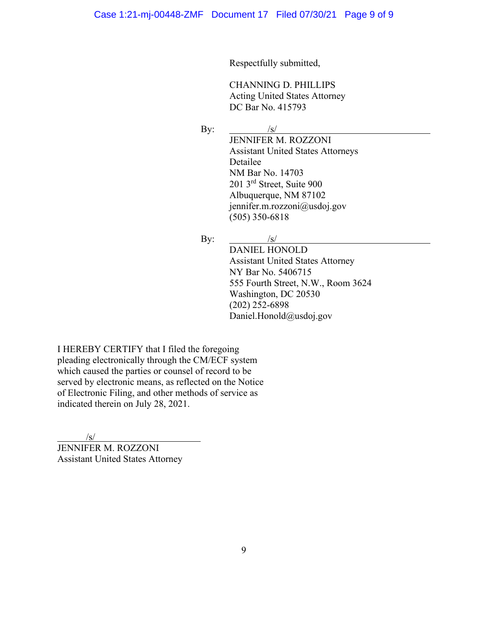Respectfully submitted,

CHANNING D. PHILLIPS Acting United States Attorney DC Bar No. 415793

By:  $\frac{1}{s}$ 

JENNIFER M. ROZZONI Assistant United States Attorneys Detailee NM Bar No. 14703 201 3rd Street, Suite 900 Albuquerque, NM 87102 jennifer.m.rozzoni@usdoj.gov (505) 350-6818

By:  $/s/$ 

DANIEL HONOLD Assistant United States Attorney NY Bar No. 5406715 555 Fourth Street, N.W., Room 3624 Washington, DC 20530 (202) 252-6898 Daniel.Honold@usdoj.gov

I HEREBY CERTIFY that I filed the foregoing pleading electronically through the CM/ECF system which caused the parties or counsel of record to be served by electronic means, as reflected on the Notice of Electronic Filing, and other methods of service as indicated therein on July 28, 2021.

/s/

JENNIFER M. ROZZONI Assistant United States Attorney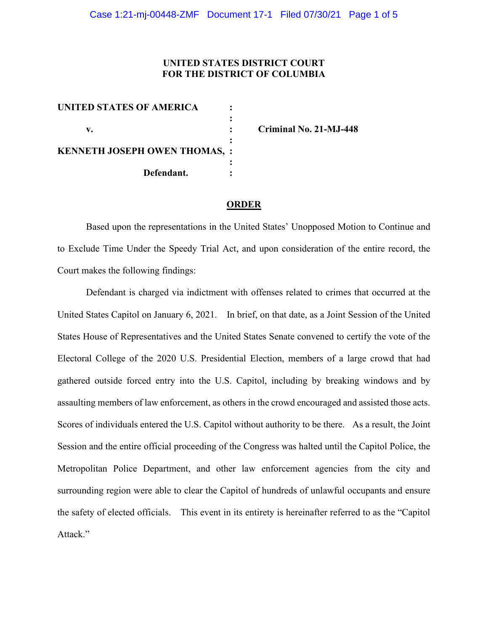# **UNITED STATES DISTRICT COURT FOR THE DISTRICT OF COLUMBIA**

| UNITED STATES OF AMERICA             |  |
|--------------------------------------|--|
|                                      |  |
| v.                                   |  |
|                                      |  |
| <b>KENNETH JOSEPH OWEN THOMAS, :</b> |  |
|                                      |  |
| Defendant.                           |  |

**v. : Criminal No. 21-MJ-448**

#### **ORDER**

Based upon the representations in the United States' Unopposed Motion to Continue and to Exclude Time Under the Speedy Trial Act, and upon consideration of the entire record, the Court makes the following findings:

Defendant is charged via indictment with offenses related to crimes that occurred at the United States Capitol on January 6, 2021. In brief, on that date, as a Joint Session of the United States House of Representatives and the United States Senate convened to certify the vote of the Electoral College of the 2020 U.S. Presidential Election, members of a large crowd that had gathered outside forced entry into the U.S. Capitol, including by breaking windows and by assaulting members of law enforcement, as others in the crowd encouraged and assisted those acts. Scores of individuals entered the U.S. Capitol without authority to be there. As a result, the Joint Session and the entire official proceeding of the Congress was halted until the Capitol Police, the Metropolitan Police Department, and other law enforcement agencies from the city and surrounding region were able to clear the Capitol of hundreds of unlawful occupants and ensure the safety of elected officials. This event in its entirety is hereinafter referred to as the "Capitol Attack."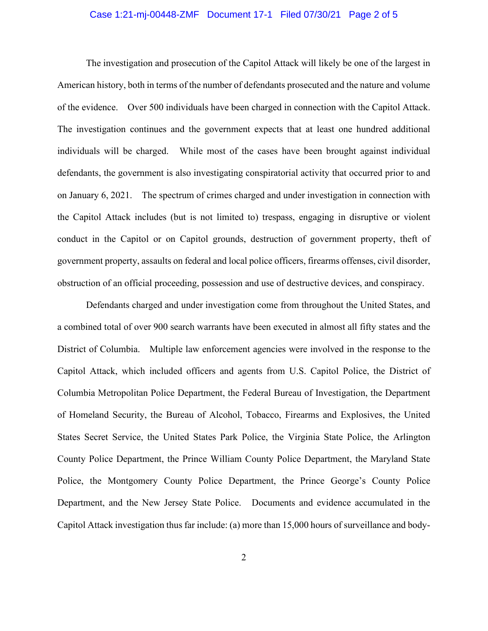## Case 1:21-mj-00448-ZMF Document 17-1 Filed 07/30/21 Page 2 of 5

The investigation and prosecution of the Capitol Attack will likely be one of the largest in American history, both in terms of the number of defendants prosecuted and the nature and volume of the evidence. Over 500 individuals have been charged in connection with the Capitol Attack. The investigation continues and the government expects that at least one hundred additional individuals will be charged. While most of the cases have been brought against individual defendants, the government is also investigating conspiratorial activity that occurred prior to and on January 6, 2021. The spectrum of crimes charged and under investigation in connection with the Capitol Attack includes (but is not limited to) trespass, engaging in disruptive or violent conduct in the Capitol or on Capitol grounds, destruction of government property, theft of government property, assaults on federal and local police officers, firearms offenses, civil disorder, obstruction of an official proceeding, possession and use of destructive devices, and conspiracy.

Defendants charged and under investigation come from throughout the United States, and a combined total of over 900 search warrants have been executed in almost all fifty states and the District of Columbia. Multiple law enforcement agencies were involved in the response to the Capitol Attack, which included officers and agents from U.S. Capitol Police, the District of Columbia Metropolitan Police Department, the Federal Bureau of Investigation, the Department of Homeland Security, the Bureau of Alcohol, Tobacco, Firearms and Explosives, the United States Secret Service, the United States Park Police, the Virginia State Police, the Arlington County Police Department, the Prince William County Police Department, the Maryland State Police, the Montgomery County Police Department, the Prince George's County Police Department, and the New Jersey State Police. Documents and evidence accumulated in the Capitol Attack investigation thus far include: (a) more than 15,000 hours of surveillance and body-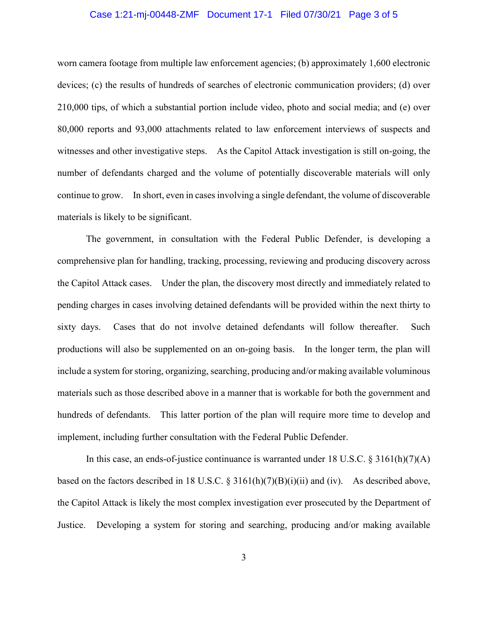## Case 1:21-mj-00448-ZMF Document 17-1 Filed 07/30/21 Page 3 of 5

worn camera footage from multiple law enforcement agencies; (b) approximately 1,600 electronic devices; (c) the results of hundreds of searches of electronic communication providers; (d) over 210,000 tips, of which a substantial portion include video, photo and social media; and (e) over 80,000 reports and 93,000 attachments related to law enforcement interviews of suspects and witnesses and other investigative steps. As the Capitol Attack investigation is still on-going, the number of defendants charged and the volume of potentially discoverable materials will only continue to grow. In short, even in cases involving a single defendant, the volume of discoverable materials is likely to be significant.

The government, in consultation with the Federal Public Defender, is developing a comprehensive plan for handling, tracking, processing, reviewing and producing discovery across the Capitol Attack cases. Under the plan, the discovery most directly and immediately related to pending charges in cases involving detained defendants will be provided within the next thirty to sixty days. Cases that do not involve detained defendants will follow thereafter. Such productions will also be supplemented on an on-going basis. In the longer term, the plan will include a system for storing, organizing, searching, producing and/or making available voluminous materials such as those described above in a manner that is workable for both the government and hundreds of defendants. This latter portion of the plan will require more time to develop and implement, including further consultation with the Federal Public Defender.

In this case, an ends-of-justice continuance is warranted under 18 U.S.C. § 3161(h)(7)(A) based on the factors described in 18 U.S.C. § 3161(h)(7)(B)(i)(ii) and (iv). As described above, the Capitol Attack is likely the most complex investigation ever prosecuted by the Department of Justice. Developing a system for storing and searching, producing and/or making available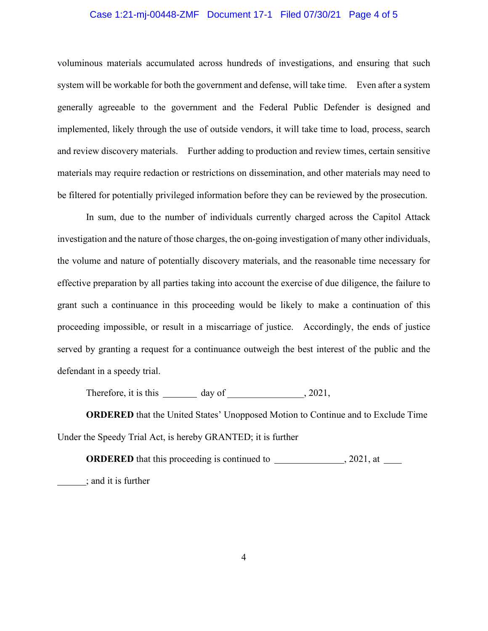## Case 1:21-mj-00448-ZMF Document 17-1 Filed 07/30/21 Page 4 of 5

voluminous materials accumulated across hundreds of investigations, and ensuring that such system will be workable for both the government and defense, will take time. Even after a system generally agreeable to the government and the Federal Public Defender is designed and implemented, likely through the use of outside vendors, it will take time to load, process, search and review discovery materials. Further adding to production and review times, certain sensitive materials may require redaction or restrictions on dissemination, and other materials may need to be filtered for potentially privileged information before they can be reviewed by the prosecution.

In sum, due to the number of individuals currently charged across the Capitol Attack investigation and the nature of those charges, the on-going investigation of many other individuals, the volume and nature of potentially discovery materials, and the reasonable time necessary for effective preparation by all parties taking into account the exercise of due diligence, the failure to grant such a continuance in this proceeding would be likely to make a continuation of this proceeding impossible, or result in a miscarriage of justice. Accordingly, the ends of justice served by granting a request for a continuance outweigh the best interest of the public and the defendant in a speedy trial.

Therefore, it is this \_\_\_\_\_\_\_\_\_\_\_ day of \_\_\_\_\_\_\_\_\_\_\_\_, 2021,

**ORDERED** that the United States' Unopposed Motion to Continue and to Exclude Time Under the Speedy Trial Act, is hereby GRANTED; it is further

**ORDERED** that this proceeding is continued to , 2021, at ; and it is further